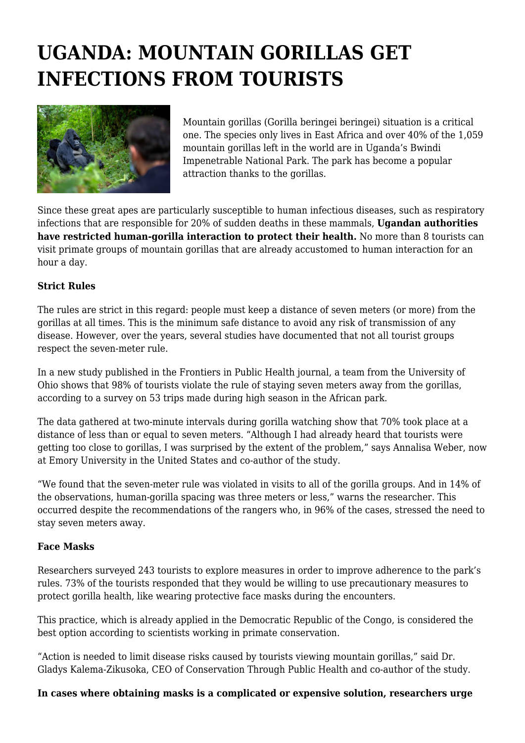# **UGANDA: MOUNTAIN GORILLAS GET INFECTIONS FROM TOURISTS**



Mountain gorillas (Gorilla beringei beringei) situation is a critical one. The species only lives in East Africa and over 40% of the 1,059 mountain gorillas left in the world are in Uganda's Bwindi Impenetrable National Park. The park has become a popular attraction thanks to the gorillas.

Since these great apes are particularly susceptible to human infectious diseases, such as respiratory infections that are responsible for 20% of sudden deaths in these mammals, **Ugandan authorities have restricted human-gorilla interaction to protect their health.** No more than 8 tourists can visit primate groups of mountain gorillas that are already accustomed to human interaction for an hour a day.

## **Strict Rules**

The rules are strict in this regard: people must keep a distance of seven meters (or more) from the gorillas at all times. This is the minimum safe distance to avoid any risk of transmission of any disease. However, over the years, several studies have documented that not all tourist groups respect the seven-meter rule.

In a new study published in the Frontiers in Public Health journal, a team from the University of Ohio shows that 98% of tourists violate the rule of staying seven meters away from the gorillas, according to a survey on 53 trips made during high season in the African park.

The data gathered at two-minute intervals during gorilla watching show that 70% took place at a distance of less than or equal to seven meters. "Although I had already heard that tourists were getting too close to gorillas, I was surprised by the extent of the problem," says Annalisa Weber, now at Emory University in the United States and co-author of the study.

"We found that the seven-meter rule was violated in visits to all of the gorilla groups. And in 14% of the observations, human-gorilla spacing was three meters or less," warns the researcher. This occurred despite the recommendations of the rangers who, in 96% of the cases, stressed the need to stay seven meters away.

#### **Face Masks**

Researchers surveyed 243 tourists to explore measures in order to improve adherence to the park's rules. 73% of the tourists responded that they would be willing to use precautionary measures to protect gorilla health, like wearing protective face masks during the encounters.

This practice, which is already applied in the Democratic Republic of the Congo, is considered the best option according to scientists working in primate conservation.

"Action is needed to limit disease risks caused by tourists viewing mountain gorillas," said Dr. Gladys Kalema-Zikusoka, CEO of Conservation Through Public Health and co-author of the study.

#### **In cases where obtaining masks is a complicated or expensive solution, researchers urge**